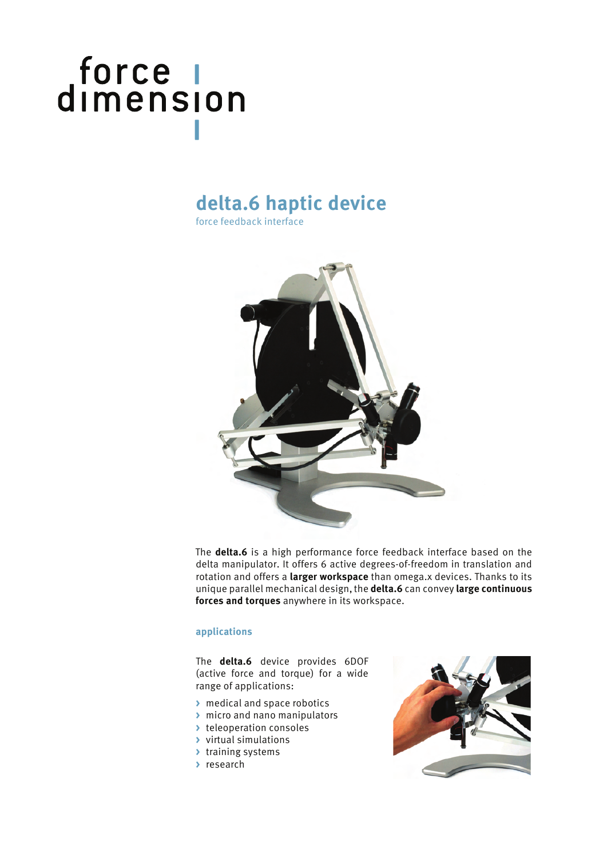# force |<br>dimension

### **delta.6 haptic device**

force feedback interface



The **delta.6** is a high performance force feedback interface based on the delta manipulator. It offers 6 active degrees-of-freedom in translation and rotation and offers a **larger workspace** than omega.x devices. Thanks to its unique parallel mechanical design, the **delta.6** can convey **large continuous forces and torques** anywhere in its workspace.

#### **applications**

The **delta.6** device provides 6DOF (active force and torque) for a wide range of applications:

- **>** medical and space robotics
- **>** micro and nano manipulators
- **>** teleoperation consoles
- **>** virtual simulations
- **>** training systems
- **>** research